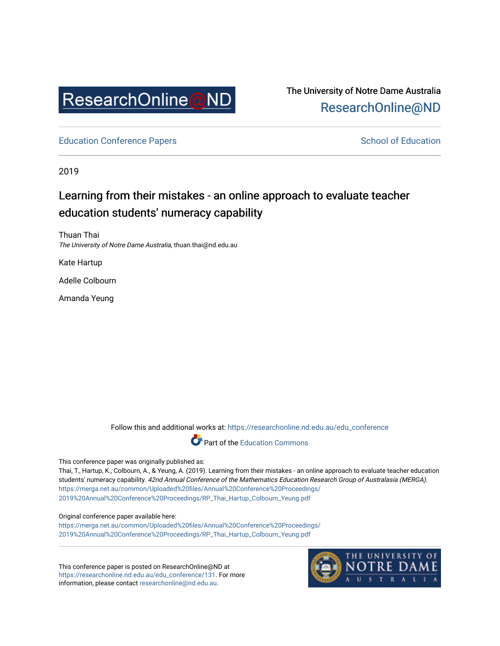

# The University of Notre Dame Australia [ResearchOnline@ND](https://researchonline.nd.edu.au/)

[Education Conference Papers](https://researchonline.nd.edu.au/edu_conference) **School of Education** School of Education

2019

# Learning from their mistakes - an online approach to evaluate teacher education students' numeracy capability

Thuan Thai The University of Notre Dame Australia, thuan.thai@nd.edu.au

Kate Hartup

Adelle Colbourn

Amanda Yeung

Follow this and additional works at: [https://researchonline.nd.edu.au/edu\\_conference](https://researchonline.nd.edu.au/edu_conference?utm_source=researchonline.nd.edu.au%2Fedu_conference%2F131&utm_medium=PDF&utm_campaign=PDFCoverPages)



#### This conference paper was originally published as:

Thai, T., Hartup, K., Colbourn, A., & Yeung, A. (2019). Learning from their mistakes - an online approach to evaluate teacher education students' numeracy capability. 42nd Annual Conference of the Mathematics Education Research Group of Australasia (MERGA). [https://merga.net.au/common/Uploaded%20files/Annual%20Conference%20Proceedings/](https://merga.net.au/common/Uploaded%20files/Annual%20Conference%20Proceedings/2019%20Annual%20Conference%20Proceedings/RP_Thai_Hartup_Colbourn_Yeung.pdf) [2019%20Annual%20Conference%20Proceedings/RP\\_Thai\\_Hartup\\_Colbourn\\_Yeung.pdf](https://merga.net.au/common/Uploaded%20files/Annual%20Conference%20Proceedings/2019%20Annual%20Conference%20Proceedings/RP_Thai_Hartup_Colbourn_Yeung.pdf)

#### Original conference paper available here:

[https://merga.net.au/common/Uploaded%20files/Annual%20Conference%20Proceedings/](https://merga.net.au/common/Uploaded%20files/Annual%20Conference%20Proceedings/2019%20Annual%20Conference%20Proceedings/RP_Thai_Hartup_Colbourn_Yeung.pdf) [2019%20Annual%20Conference%20Proceedings/RP\\_Thai\\_Hartup\\_Colbourn\\_Yeung.pdf](https://merga.net.au/common/Uploaded%20files/Annual%20Conference%20Proceedings/2019%20Annual%20Conference%20Proceedings/RP_Thai_Hartup_Colbourn_Yeung.pdf)

This conference paper is posted on ResearchOnline@ND at [https://researchonline.nd.edu.au/edu\\_conference/131](https://researchonline.nd.edu.au/edu_conference/131). For more information, please contact [researchonline@nd.edu.au.](mailto:researchonline@nd.edu.au)

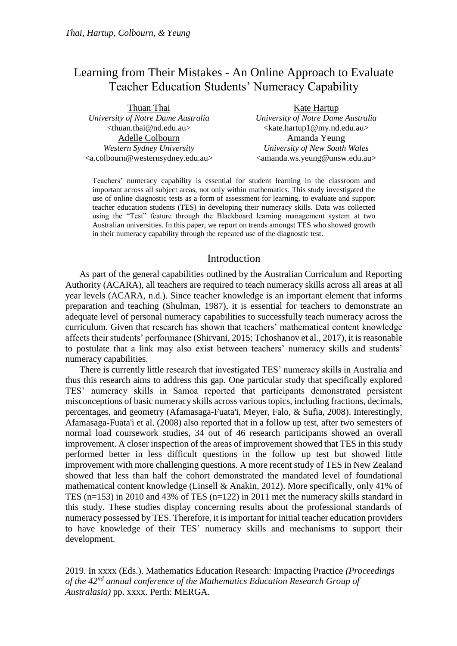## Learning from Their Mistakes - An Online Approach to Evaluate Teacher Education Students' Numeracy Capability

| Thuan Thai                                                          | Kate Hartup                                                 |  |
|---------------------------------------------------------------------|-------------------------------------------------------------|--|
| University of Notre Dame Australia                                  | University of Notre Dame Australia                          |  |
| <thuan.thai@nd.edu.au></thuan.thai@nd.edu.au>                       | <kate.hartup1@my.nd.edu.au></kate.hartup1@my.nd.edu.au>     |  |
| Adelle Colbourn                                                     | Amanda Yeung                                                |  |
| Western Sydney University                                           | University of New South Wales                               |  |
| <a.colbourn@westernsydney.edu.au></a.colbourn@westernsydney.edu.au> | <amanda.ws.yeung@unsw.edu.au></amanda.ws.yeung@unsw.edu.au> |  |

Teachers' numeracy capability is essential for student learning in the classroom and important across all subject areas, not only within mathematics. This study investigated the use of online diagnostic tests as a form of assessment for learning, to evaluate and support teacher education students (TES) in developing their numeracy skills. Data was collected using the "Test" feature through the Blackboard learning management system at two Australian universities. In this paper, we report on trends amongst TES who showed growth in their numeracy capability through the repeated use of the diagnostic test.

## Introduction

As part of the general capabilities outlined by the Australian Curriculum and Reporting Authority (ACARA), all teachers are required to teach numeracy skills across all areas at all year levels (ACARA, n.d.). Since teacher knowledge is an important element that informs preparation and teaching (Shulman, 1987), it is essential for teachers to demonstrate an adequate level of personal numeracy capabilities to successfully teach numeracy across the curriculum. Given that research has shown that teachers' mathematical content knowledge affects their students' performance (Shirvani, 2015; Tchoshanov et al., 2017), it is reasonable to postulate that a link may also exist between teachers' numeracy skills and students' numeracy capabilities.

There is currently little research that investigated TES' numeracy skills in Australia and thus this research aims to address this gap. One particular study that specifically explored TES' numeracy skills in Samoa reported that participants demonstrated persistent misconceptions of basic numeracy skills across various topics, including fractions, decimals, percentages, and geometry (Afamasaga-Fuata'i, Meyer, Falo, & Sufia, 2008). Interestingly, Afamasaga-Fuata'i et al. (2008) also reported that in a follow up test, after two semesters of normal load coursework studies, 34 out of 46 research participants showed an overall improvement. A closer inspection of the areas of improvement showed that TES in this study performed better in less difficult questions in the follow up test but showed little improvement with more challenging questions. A more recent study of TES in New Zealand showed that less than half the cohort demonstrated the mandated level of foundational mathematical content knowledge (Linsell & Anakin, 2012). More specifically, only 41% of TES (n=153) in 2010 and 43% of TES (n=122) in 2011 met the numeracy skills standard in this study. These studies display concerning results about the professional standards of numeracy possessed by TES. Therefore, it is important for initial teacher education providers to have knowledge of their TES' numeracy skills and mechanisms to support their development.

2019. In xxxx (Eds.). Mathematics Education Research: Impacting Practice *(Proceedings of the 42nd annual conference of the Mathematics Education Research Group of Australasia)* pp. xxxx. Perth: MERGA.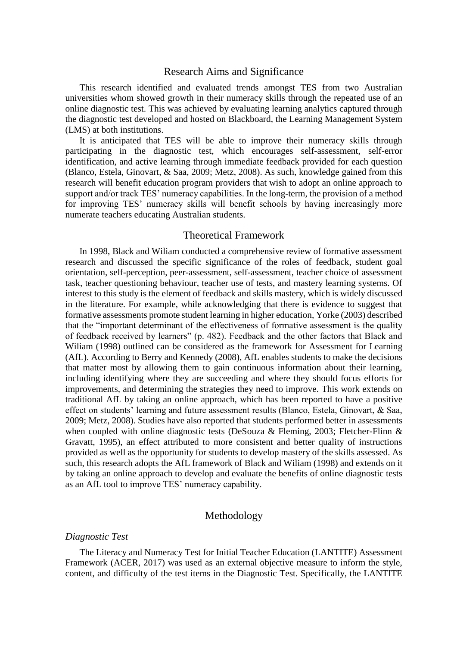### Research Aims and Significance

This research identified and evaluated trends amongst TES from two Australian universities whom showed growth in their numeracy skills through the repeated use of an online diagnostic test. This was achieved by evaluating learning analytics captured through the diagnostic test developed and hosted on Blackboard, the Learning Management System (LMS) at both institutions.

It is anticipated that TES will be able to improve their numeracy skills through participating in the diagnostic test, which encourages self-assessment, self-error identification, and active learning through immediate feedback provided for each question (Blanco, Estela, Ginovart, & Saa, 2009; Metz, 2008). As such, knowledge gained from this research will benefit education program providers that wish to adopt an online approach to support and/or track TES' numeracy capabilities. In the long-term, the provision of a method for improving TES' numeracy skills will benefit schools by having increasingly more numerate teachers educating Australian students.

### Theoretical Framework

In 1998, Black and Wiliam conducted a comprehensive review of formative assessment research and discussed the specific significance of the roles of feedback, student goal orientation, self-perception, peer-assessment, self-assessment, teacher choice of assessment task, teacher questioning behaviour, teacher use of tests, and mastery learning systems. Of interest to this study is the element of feedback and skills mastery, which is widely discussed in the literature. For example, while acknowledging that there is evidence to suggest that formative assessments promote student learning in higher education, Yorke (2003) described that the "important determinant of the effectiveness of formative assessment is the quality of feedback received by learners" (p. 482). Feedback and the other factors that Black and Wiliam (1998) outlined can be considered as the framework for Assessment for Learning (AfL). According to Berry and Kennedy (2008), AfL enables students to make the decisions that matter most by allowing them to gain continuous information about their learning, including identifying where they are succeeding and where they should focus efforts for improvements, and determining the strategies they need to improve. This work extends on traditional AfL by taking an online approach, which has been reported to have a positive effect on students' learning and future assessment results (Blanco, Estela, Ginovart, & Saa, 2009; Metz, 2008). Studies have also reported that students performed better in assessments when coupled with online diagnostic tests (DeSouza & Fleming, 2003; Fletcher-Flinn & Gravatt, 1995), an effect attributed to more consistent and better quality of instructions provided as well as the opportunity for students to develop mastery of the skills assessed. As such, this research adopts the AfL framework of Black and Wiliam (1998) and extends on it by taking an online approach to develop and evaluate the benefits of online diagnostic tests as an AfL tool to improve TES' numeracy capability.

## Methodology

#### *Diagnostic Test*

The Literacy and Numeracy Test for Initial Teacher Education (LANTITE) Assessment Framework (ACER, 2017) was used as an external objective measure to inform the style, content, and difficulty of the test items in the Diagnostic Test. Specifically, the LANTITE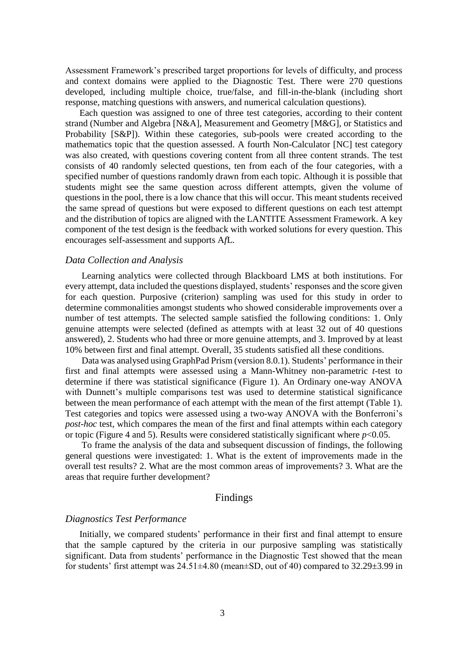Assessment Framework's prescribed target proportions for levels of difficulty, and process and context domains were applied to the Diagnostic Test. There were 270 questions developed, including multiple choice, true/false, and fill-in-the-blank (including short response, matching questions with answers, and numerical calculation questions).

Each question was assigned to one of three test categories, according to their content strand (Number and Algebra [N&A], Measurement and Geometry [M&G], or Statistics and Probability [S&P]). Within these categories, sub-pools were created according to the mathematics topic that the question assessed. A fourth Non-Calculator [NC] test category was also created, with questions covering content from all three content strands. The test consists of 40 randomly selected questions, ten from each of the four categories, with a specified number of questions randomly drawn from each topic. Although it is possible that students might see the same question across different attempts, given the volume of questions in the pool, there is a low chance that this will occur. This meant students received the same spread of questions but were exposed to different questions on each test attempt and the distribution of topics are aligned with the LANTITE Assessment Framework. A key component of the test design is the feedback with worked solutions for every question. This encourages self-assessment and supports A*f*L.

#### *Data Collection and Analysis*

Learning analytics were collected through Blackboard LMS at both institutions. For every attempt, data included the questions displayed, students' responses and the score given for each question. Purposive (criterion) sampling was used for this study in order to determine commonalities amongst students who showed considerable improvements over a number of test attempts. The selected sample satisfied the following conditions: 1. Only genuine attempts were selected (defined as attempts with at least 32 out of 40 questions answered), 2. Students who had three or more genuine attempts, and 3. Improved by at least 10% between first and final attempt. Overall, 35 students satisfied all these conditions.

Data was analysed using GraphPad Prism (version 8.0.1). Students' performance in their first and final attempts were assessed using a Mann-Whitney non-parametric *t*-test to determine if there was statistical significance (Figure 1). An Ordinary one-way ANOVA with Dunnett's multiple comparisons test was used to determine statistical significance between the mean performance of each attempt with the mean of the first attempt (Table 1). Test categories and topics were assessed using a two-way ANOVA with the Bonferroni's *post-hoc* test, which compares the mean of the first and final attempts within each category or topic (Figure 4 and 5). Results were considered statistically significant where *p*<0.05.

To frame the analysis of the data and subsequent discussion of findings, the following general questions were investigated: 1. What is the extent of improvements made in the overall test results? 2. What are the most common areas of improvements? 3. What are the areas that require further development?

## Findings

#### *Diagnostics Test Performance*

Initially, we compared students' performance in their first and final attempt to ensure that the sample captured by the criteria in our purposive sampling was statistically significant. Data from students' performance in the Diagnostic Test showed that the mean for students' first attempt was  $24.51\pm4.80$  (mean $\pm$ SD, out of 40) compared to  $32.29\pm3.99$  in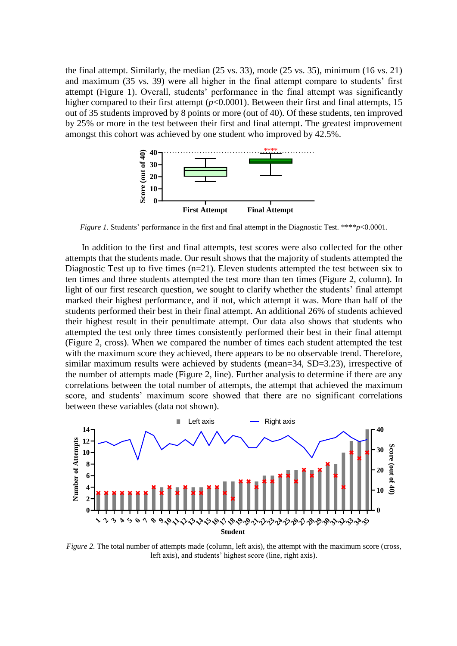the final attempt. Similarly, the median (25 vs. 33), mode (25 vs. 35), minimum (16 vs. 21) and maximum (35 vs. 39) were all higher in the final attempt compare to students' first attempt (Figure 1). Overall, students' performance in the final attempt was significantly higher compared to their first attempt ( $p$ <0.0001). Between their first and final attempts, 15 out of 35 students improved by 8 points or more (out of 40). Of these students, ten improved by 25% or more in the test between their first and final attempt. The greatest improvement amongst this cohort was achieved by one student who improved by 42.5%.



*Figure 1.* Students' performance in the first and final attempt in the Diagnostic Test. \*\*\*\**p*<0.0001.

In addition to the first and final attempts, test scores were also collected for the other attempts that the students made. Our result shows that the majority of students attempted the Diagnostic Test up to five times (n=21). Eleven students attempted the test between six to ten times and three students attempted the test more than ten times (Figure 2, column). In light of our first research question, we sought to clarify whether the students' final attempt marked their highest performance, and if not, which attempt it was. More than half of the students performed their best in their final attempt. An additional 26% of students achieved their highest result in their penultimate attempt. Our data also shows that students who attempted the test only three times consistently performed their best in their final attempt (Figure 2, cross). When we compared the number of times each student attempted the test with the maximum score they achieved, there appears to be no observable trend. Therefore, similar maximum results were achieved by students (mean=34, SD=3.23), irrespective of the number of attempts made (Figure 2, line). Further analysis to determine if there are any correlations between the total number of attempts, the attempt that achieved the maximum score, and students' maximum score showed that there are no significant correlations between these variables (data not shown).



*Figure 2.* The total number of attempts made (column, left axis), the attempt with the maximum score (cross, left axis), and students' highest score (line, right axis).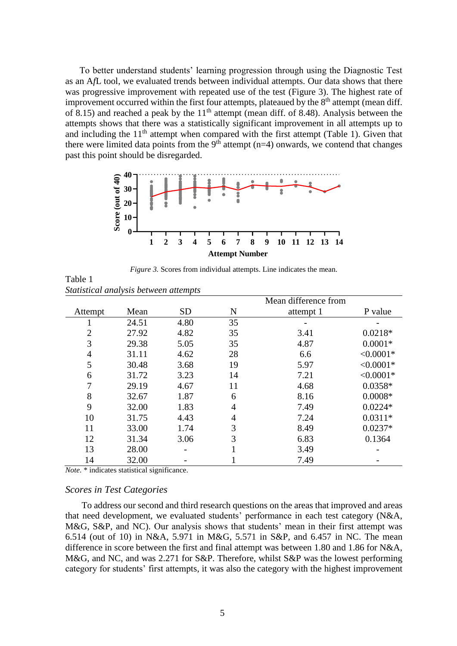To better understand students' learning progression through using the Diagnostic Test as an A*f*L tool, we evaluated trends between individual attempts. Our data shows that there was progressive improvement with repeated use of the test (Figure 3). The highest rate of improvement occurred within the first four attempts, plateaued by the  $8<sup>th</sup>$  attempt (mean diff. of 8.15) and reached a peak by the  $11<sup>th</sup>$  attempt (mean diff. of 8.48). Analysis between the attempts shows that there was a statistically significant improvement in all attempts up to and including the  $11<sup>th</sup>$  attempt when compared with the first attempt (Table 1). Given that there were limited data points from the  $9<sup>th</sup>$  attempt (n=4) onwards, we contend that changes past this point should be disregarded.



*Figure 3.* Scores from individual attempts. Line indicates the mean.

|                |       |           | Mean difference from |           |             |
|----------------|-------|-----------|----------------------|-----------|-------------|
| Attempt        | Mean  | <b>SD</b> | N                    | attempt 1 | P value     |
| ı              | 24.51 | 4.80      | 35                   |           |             |
| $\overline{2}$ | 27.92 | 4.82      | 35                   | 3.41      | $0.0218*$   |
| 3              | 29.38 | 5.05      | 35                   | 4.87      | $0.0001*$   |
| 4              | 31.11 | 4.62      | 28                   | 6.6       | $< 0.0001*$ |
| 5              | 30.48 | 3.68      | 19                   | 5.97      | $< 0.0001*$ |
| 6              | 31.72 | 3.23      | 14                   | 7.21      | $< 0.0001*$ |
| 7              | 29.19 | 4.67      | 11                   | 4.68      | $0.0358*$   |
| 8              | 32.67 | 1.87      | 6                    | 8.16      | $0.0008*$   |
| 9              | 32.00 | 1.83      | 4                    | 7.49      | $0.0224*$   |
| 10             | 31.75 | 4.43      | 4                    | 7.24      | $0.0311*$   |
| 11             | 33.00 | 1.74      | 3                    | 8.49      | $0.0237*$   |
| 12             | 31.34 | 3.06      | 3                    | 6.83      | 0.1364      |
| 13             | 28.00 |           |                      | 3.49      |             |
| 14             | 32.00 |           |                      | 7.49      |             |

*Statistical analysis between attempts*

Table 1

*Note*. \* indicates statistical significance.

#### *Scores in Test Categories*

To address our second and third research questions on the areas that improved and areas that need development, we evaluated students' performance in each test category (N&A, M&G, S&P, and NC). Our analysis shows that students' mean in their first attempt was 6.514 (out of 10) in N&A, 5.971 in M&G, 5.571 in S&P, and 6.457 in NC. The mean difference in score between the first and final attempt was between 1.80 and 1.86 for N&A, M&G, and NC, and was 2.271 for S&P. Therefore, whilst S&P was the lowest performing category for students' first attempts, it was also the category with the highest improvement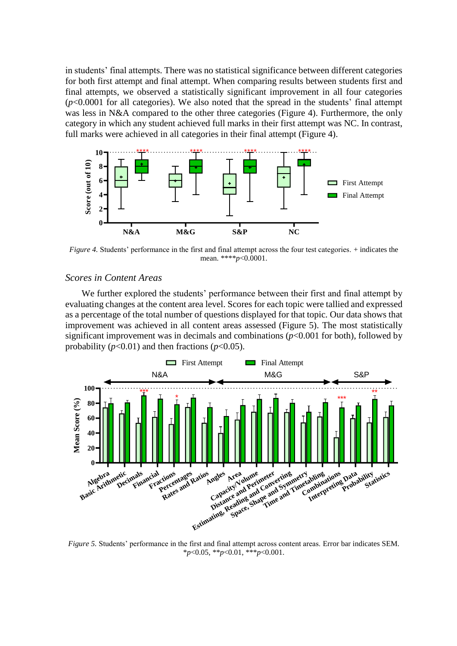in students' final attempts. There was no statistical significance between different categories for both first attempt and final attempt. When comparing results between students first and final attempts, we observed a statistically significant improvement in all four categories  $(p<0.0001$  for all categories). We also noted that the spread in the students' final attempt was less in N&A compared to the other three categories (Figure 4). Furthermore, the only category in which any student achieved full marks in their first attempt was NC. In contrast, full marks were achieved in all categories in their final attempt (Figure 4).



*Figure 4.* Students' performance in the first and final attempt across the four test categories. + indicates the mean. \*\*\*\**p*<0.0001.

### *Scores in Content Areas*

We further explored the students' performance between their first and final attempt by evaluating changes at the content area level. Scores for each topic were tallied and expressed as a percentage of the total number of questions displayed for that topic. Our data shows that improvement was achieved in all content areas assessed (Figure 5). The most statistically significant improvement was in decimals and combinations  $(p<0.001$  for both), followed by probability  $(p<0.01)$  and then fractions  $(p<0.05)$ .



*Figure 5.* Students' performance in the first and final attempt across content areas. Error bar indicates SEM. \**p*<0.05, \*\**p*<0.01, \*\*\**p*<0.001.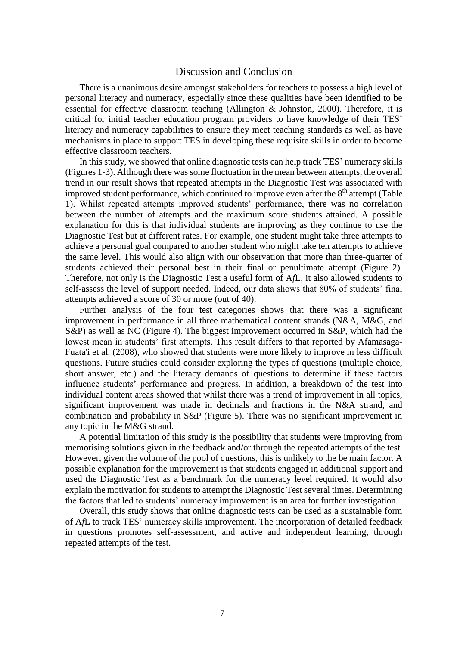## Discussion and Conclusion

There is a unanimous desire amongst stakeholders for teachers to possess a high level of personal literacy and numeracy, especially since these qualities have been identified to be essential for effective classroom teaching (Allington & Johnston, 2000). Therefore, it is critical for initial teacher education program providers to have knowledge of their TES' literacy and numeracy capabilities to ensure they meet teaching standards as well as have mechanisms in place to support TES in developing these requisite skills in order to become effective classroom teachers.

In this study, we showed that online diagnostic tests can help track TES' numeracy skills (Figures 1-3). Although there wassome fluctuation in the mean between attempts, the overall trend in our result shows that repeated attempts in the Diagnostic Test was associated with improved student performance, which continued to improve even after the  $8<sup>th</sup>$  attempt (Table 1). Whilst repeated attempts improved students' performance, there was no correlation between the number of attempts and the maximum score students attained. A possible explanation for this is that individual students are improving as they continue to use the Diagnostic Test but at different rates. For example, one student might take three attempts to achieve a personal goal compared to another student who might take ten attempts to achieve the same level. This would also align with our observation that more than three-quarter of students achieved their personal best in their final or penultimate attempt (Figure 2). Therefore, not only is the Diagnostic Test a useful form of A*f*L, it also allowed students to self-assess the level of support needed. Indeed, our data shows that 80% of students' final attempts achieved a score of 30 or more (out of 40).

Further analysis of the four test categories shows that there was a significant improvement in performance in all three mathematical content strands (N&A, M&G, and S&P) as well as NC (Figure 4). The biggest improvement occurred in S&P, which had the lowest mean in students' first attempts. This result differs to that reported by Afamasaga-Fuata'i et al. (2008), who showed that students were more likely to improve in less difficult questions. Future studies could consider exploring the types of questions (multiple choice, short answer, etc.) and the literacy demands of questions to determine if these factors influence students' performance and progress. In addition, a breakdown of the test into individual content areas showed that whilst there was a trend of improvement in all topics, significant improvement was made in decimals and fractions in the N&A strand, and combination and probability in S&P (Figure 5). There was no significant improvement in any topic in the M&G strand.

A potential limitation of this study is the possibility that students were improving from memorising solutions given in the feedback and/or through the repeated attempts of the test. However, given the volume of the pool of questions, this is unlikely to the be main factor. A possible explanation for the improvement is that students engaged in additional support and used the Diagnostic Test as a benchmark for the numeracy level required. It would also explain the motivation for students to attempt the Diagnostic Test several times. Determining the factors that led to students' numeracy improvement is an area for further investigation.

Overall, this study shows that online diagnostic tests can be used as a sustainable form of A*f*L to track TES' numeracy skills improvement. The incorporation of detailed feedback in questions promotes self-assessment, and active and independent learning, through repeated attempts of the test.